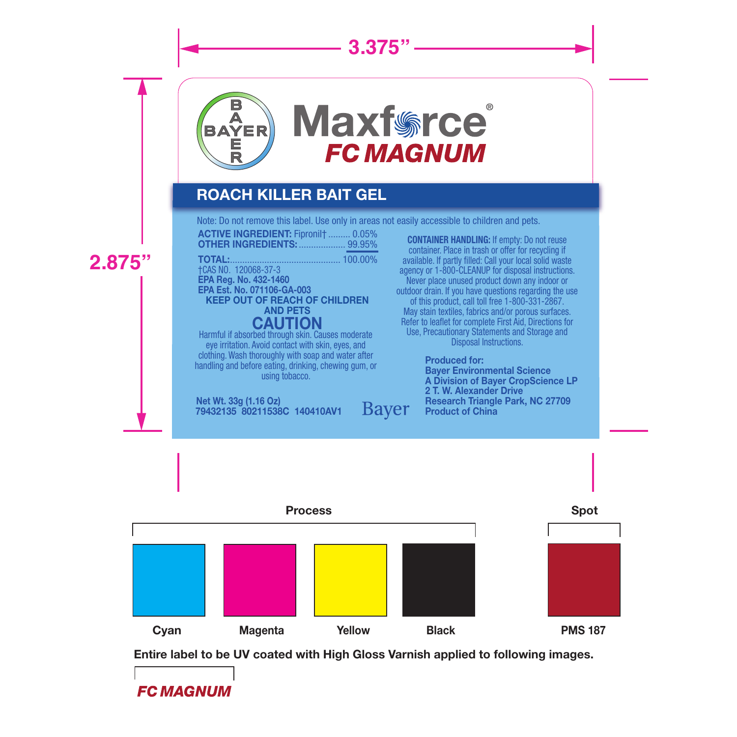# **3.375"**



## ROACH KILLER BAIT GEL

Note: Do not remove this label. Use only in areas not easily accessible to children and pets.

ACTIVE INGREDIENT: Fipronil† ......... 0.05% OTHER INGREDIENTS: ...

**2.875"**

### Harmful if absorbed through skin. Causes moderate TOTAL:............................................. 100.00% †CAS NO. 120068-37-3 EPA Reg. No. 432-1460 EPA Est. No. 071106-GA-003 KEEP OUT OF REACH OF CHILDREN AND PETS **CAUTION**

eye irritation. Avoid contact with skin, eyes, and clothing. Wash thoroughly with soap and water after handling and before eating, drinking, chewing gum, or using tobacco.

Net Wt. 33g (1.16 Oz) **Bayer** 79432135 80211538C 140410AV1

**CONTAINER HANDLING:** If empty: Do not reuse container. Place in trash or offer for recycling if available. If partly filled: Call your local solid waste agency or 1-800-CLEANUP for disposal instructions. Never place unused product down any indoor or outdoor drain. If you have questions regarding the use of this product, call toll free 1-800-331-2867. May stain textiles, fabrics and/or porous surfaces. Refer to leaflet for complete First Aid, Directions for Use, Precautionary Statements and Storage and Disposal Instructions.

> Produced for: Bayer Environmental Science A Division of Bayer CropScience LP 2 T. W. Alexander Drive Research Triangle Park, NC 27709 Product of China



Entire label to be UV coated with High Gloss Varnish applied to following images.

**FC MAGNUM**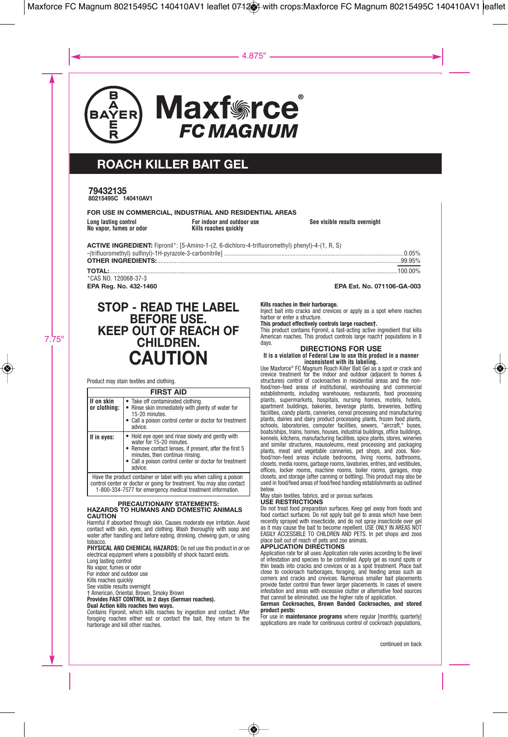

 $\circledast$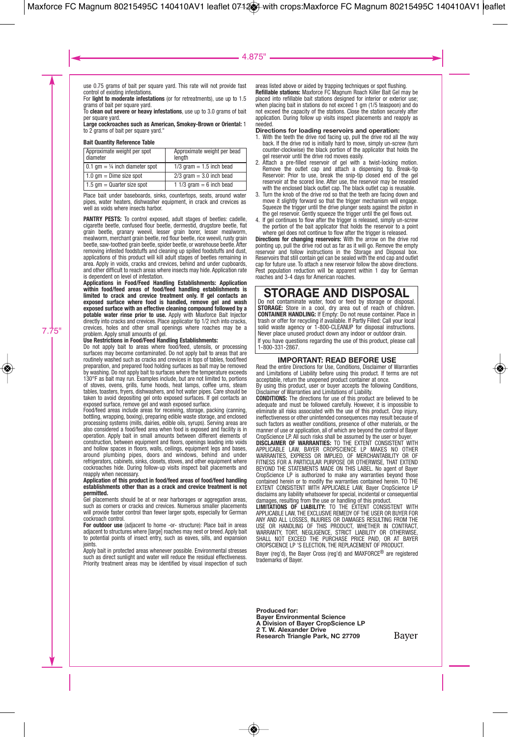#### $-4.875$ "

use 0.75 grams of bait per square yard. This rate will not provide fast control of existing infestations. For **light to moderate infestations** (or for retreatments), use up to 1.5

grams of bait per square yard. To **clean out severe or heavy infestations**, use up to 3.0 grams of bait

per square yard. **Large cockroaches such as American, Smokey-Brown or Oriental:** 1 to 2 grams of bait per square yard."

**Bait Quantity Reference Table**

| Approximate weight per spot<br>diameter   | Approximate weight per bead<br>lenath |
|-------------------------------------------|---------------------------------------|
| 0.1 $qm = \frac{1}{4}$ inch diameter spot | $1/3$ gram = 1.5 inch bead            |
| $1.0$ gm = Dime size spot                 | $2/3$ gram = 3.0 inch bead            |
| $1.5$ gm = Quarter size spot              | 1 1/3 gram $= 6$ inch bead            |

Place bait under baseboards, sinks, countertons, seats, around water pipes, water heaters, dishwasher equipment, in crack and crevices as well as voids where insects harbor.

**PANTRY PESTS:** To control exposed, adult stages of beetles: cadelle, cigarette beetle, confused flour beetle, dermestid, drugstore beetle, flat grain beetle, granary weevil, lesser grain borer, lesser mealworm, mealworm, merchant grain beetle, red flour beetle, rice weevil, rusty grain beetle, saw-toothed grain beetle, spider beetle, or warehouse beetle. After removing infested foodstuffs and cleaning up spilled foodstuffs and dust, applications of this product will kill adult stages of beetles remaining in area. Apply in voids, cracks and crevices, behind and under cupboards, and other difficult to reach areas where insects may hide. Application rate<br>is dependent on level of infestation

is dependent on level of infestation.<br>Applications in Food/Feed Handling Establishments: Application<br>within food/feed areas of food/feed handling establishments is<br>limited to crack and crevice treatment o exposed surface where food is handled, remove gel and wash<br>exposed surface with an effective cleaning compound followed by a<br>potable water rinse prior to use. Apply with Maxforce Bait Injector directly into cracks and crevices. Place applicator tip 1/2 inch into cracks, crevices, holes and other small openings where roaches may be a problem. Apply small amounts of gel.

7.75"

**Use Restrictions in Food/Feed Handling Establishments:** Do not apply bait to areas where food/feed, utensils, or processing surfaces may become contaminated. Do not apply bait to areas that are routinely washed such as cracks and crevices in tops of tables, food/feed preparation, and prepared food holding surfaces as bait may be removed by washing. Do not apply bait to surfaces where the temperature exceeds 130°F as bait may run. Examples include, but are not limited to, portions of stoves, ovens, grills, fume hoods, heat lamps, coffee urns, steam tables, toasters, fryers, dishwashers, and hot water pipes. Care should be taken to avoid depositing gel onto exposed surfaces. If gel contacts an exposed surface, remove gel and wash exposed surface. Food/feed areas include areas for receiving, storage, packing (canning,

bottling, wrapping, boxing), preparing edible waste storage, and enclosed processing systems (mills, dairies, edible oils, syrups). Serving areas are also considered a food/feed area when food is exposed and facility is in operation. Apply bait in small amounts between different elements of construction, between equipment and floors, openings leading into voids and hollow spaces in floors, walls, ceilings, equipment legs and bases around plumbing pipes, doors and windows, behind and under refrigerators, cabinets, sinks, closets, stoves, and other equipment where cockroaches hide. During follow-up visits inspect bait placements and reapply when necessary.

#### **Application of this product in food/feed areas of food/feed handling establishments other than as a crack and crevice treatment is not permitted.**

Gel placements should be at or near harborages or aggregation areas, such as corners or cracks and crevices. Numerous smaller placements will provide faster control than fewer larger spots, especially for German cockroach control.

**For outdoor use** (adjacent to home -or- structure): Place bait in areas adjacent to structures where [large] roaches may nest or breed. Apply bait to potential points of insect entry, such as eaves, sills, and expansion joints.

Apply bait in protected areas whenever possible. Environmental stresses such as direct sunlight and water will reduce the residual effectiveness. Priority treatment areas may be identified by visual inspection of such areas listed above or aided by trapping techniques or spot flushing. **Refillable stations:** Maxforce FC Magnum Roach Killer Bait Gel may be placed into refillable bait stations designed for interior or exterior use; when placing bait in stations do not exceed 1 gm (1/5 teaspoon) and do not exceed the capacity of the stations. Close the station securely after application. During follow up visits inspect placements and reapply as needed.

- **Directions for loading reservoirs and operation:**<br>1. With the teeth the drive rod facing up, pull the drive rod all the way<br>back. If the drive rod is initially hard to move, simply un-screw (turn counter-clockwise) the black portion of the applicator that holds the
- gel reservoir until the drive rod moves easily. 2. Attach a pre-filled reservoir of gel with a twist-locking motion. Remove the outlet cap and attach a dispensing tip. Break-tip Reservoir: Prior to use, break the snip-tip closed end of the gel reservoir at the scored line. After use, the reservoir may be resealed
- with the enclosed black outlet cap. The black outlet cap is reusable. 3. Turn the knob of the drive rod so that the teeth are facing down and move it slightly forward so that the trigger mechanism will engage. Squeeze the trigger until the drive plunger seats against the piston in the gel reservoir. Gently squeeze the trigger until the gel flows out.
- 4. If gel continues to flow after the trigger is released, simply un-screw the portion of the bait applicator that holds the reservoir to a point

where gel does not continue to flow after the trigger is released.<br>**Directions for changing reservoirs:** With the arrow on the drive rod<br>pointing up, pull the drive rod out as far as it will go. Remove the empty reservoir and follow instructions in the Storage and Disposal box. Reservoirs that still contain gel can be sealed with the end cap and outlet cap for future use. To attach a new reservoir follow the above directions. Pest population reduction will be apparent within 1 day for German roaches and 3-4 days for American roaches.

**STORAGE AND DISPOSAL**<br>Do not contaminate water, food or feed by storage or disposal.<br>**STORAGE:** Store in a cool, dry area out of reach of children.<br>**CONTAINER HANDLING:** if Empty: Do not reuse container. Place in trash or offer for recycling if available. If Partly Filled: Call your local<br>solid waste agency or 1-800-CLEANUP for disposal instructions. Never place unused product down any indoor or outdoor drain. If you have questions regarding the use of this product, please call 1-800-331-2867.

#### **IMPORTANT: READ BEFORE USE**

Read the entire Directions for Use, Conditions, Disclaimer of Warranties and Limitations of Liability before using this product. If terms are not acceptable, return the unopened product container at once. By using this product, user or buyer accepts the following Conditions, Disclaimer of Warranties and Limitations of Liability.

**CONDITIONS:** The directions for use of this product are believed to be adequate and must be followed carefully. However, it is impossible to

eliminate all risks associated with the use of this product. Crop injury, ineffectiveness or other unintended consequences may result because of such factors as weather conditions, presence of other materials, or the manner of use or application, all of which are beyond the control of Bayer CropScience LP. All such risks shall be assumed by the user or buye

**DISCLAIMER OF WARRANTIES:** TO THE EXTENT CONSISTENT WITH<br>APPLICABLE LAW, BAYER CROPSCIENCE LP MAKES NO OTHER<br>WARRANTIES, EXPRESS OR IMPLIED, OF MERCHANTABILITY OR OF<br>FITNESS FOR A PARTICULAR PURPOSE OR OTHERWISE, THAT EXT BEYOND THE STATEMENTS MADE ON THIS LABEL. No agent of Bayer CropScience LP is authorized to make any warranties beyond those contained herein or to modify the warranties contained herein. TO THE EXTENT CONSISTENT WITH APPLICABLE LAW, Bayer CropScience LP disclaims any liability whatsoever for special, incidental or consequential

damages, resulting from the use or handling of this product.<br>**LIMITATIONS OF LIABILITY:** TO THE EXTENT CONSISTENT WITH<br>APPLICABLE LAW, THE EXCLUSIVE REMEDY OF THE USER OR BUYER FOR ANY AND ALL LOSSES, INJURIES OR DAMAGES RESULTING FROM THE<br>USE OR HANDLING OF THIS PRODUCT, WHETHER IN CONTRACT,<br>WARRANTY, TORT, NEGLIGENCE, STRICT LIABILITY OR OTHERWISE,<br>SHALL NOT EXCEED THE PURCHASE PRICE PAID, OR AT BA CROPSCIENCE LP 'S ELECTION, THE REPLACEMENT OF PRODUCT.

Bayer (reg'd), the Bayer Cross (reg'd) and MAXFORCE® are registered trademarks of Bayer.

Produced for:<br>Bayer Environmental Science<br>A Division of Bayer CropScience LP<br>2 T. W. Alexander Drive<br>Research Triangle Park, NC 27709

◈

Bayer